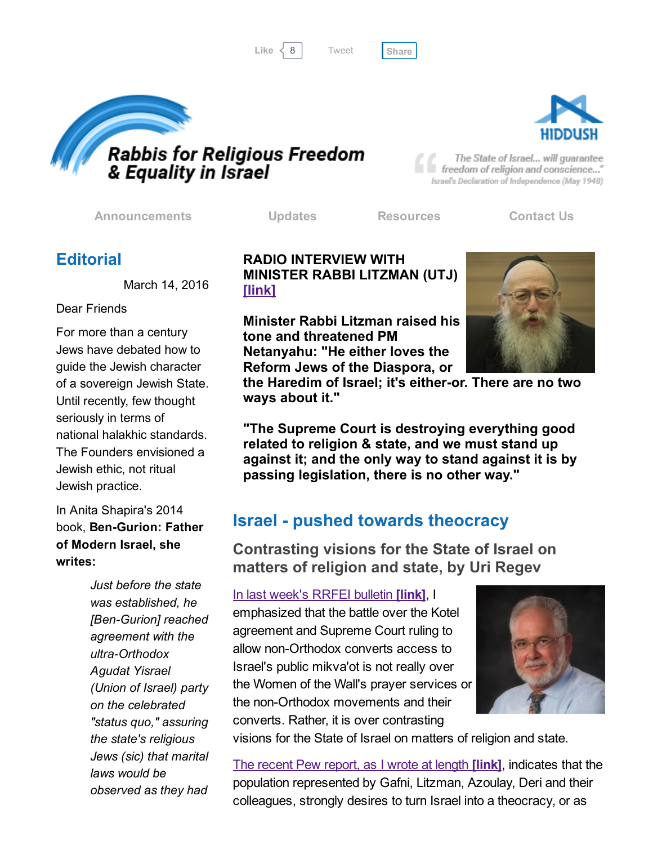Like 8 [Share](javascript:void(0);)

[Tweet](https://twitter.com/intent/tweet?original_referer=http%3A%2F%2Fhosted-p0.vresp.com%2F577764%2Fb12dc88c28%2FARCHIVE&ref_src=twsrc%5Etfw&text=Bulletin%3A%20Family%20Law%2C%20Religion%20and%20Women%20in%20Israel%3A&tw_p=tweetbutton&url=http%3A%2F%2Fhosted-p0.vresp.com%2F577764%2Fb12dc88c28%2FARCHIVE%23.Vuka6CD5fP8.twitter)





The State of Israel... will guarantee freedom of religion and conscience..." Israel's Declaration of Independence (May 1948)

[Announcements](http://rrfei.org/announcements/) [Updates](http://rrfei.org/about/rrfei-updates/) [Resources](http://rrfei.org/resources/) [Contact](http://rrfei.org/contact-us/) Us

## **Editorial**

March 14, 2016

### Dear Friends

For more than a century Jews have debated how to guide the Jewish character of a sovereign Jewish State. Until recently, few thought seriously in terms of national halakhic standards. The Founders envisioned a Jewish ethic, not ritual Jewish practice.

In Anita Shapira's 2014 book, Ben-Gurion: Father of Modern Israel, she writes:

> *Just before the state was established, he [BenGurion] reached agreement with the* ultra-Orthodox *Agudat Yisrael (Union of Israel) party on the celebrated "status quo," assuring the state's religious Jews (sic) that marital laws would be observed as they had*

### RADIO INTERVIEW WITH MINISTER RABBI LITZMAN (UTJ) [\[link\]](http://www.ynet.co.il/articles/0,7340,L-4777813,00.html)

Minister Rabbi Litzman raised his tone and threatened PM Netanyahu: "He either loves the Reform Jews of the Diaspora, or



the Haredim of Israel; it's either-or. There are no two ways about it."

"The Supreme Court is destroying everything good related to religion & state, and we must stand up against it; and the only way to stand against it is by passing legislation, there is no other way."

# **Israel - pushed towards theocracy**

Contrasting visions for the State of Israel on matters of religion and state, by Uri Regev

In last [week's](http://rrfei.org/2016/03/rising-flames-of-resistance-to-the-western-wall-agreement/) RRFEI bulletin [link], I

emphasized that the battle over the Kotel agreement and Supreme Court ruling to allow non-Orthodox converts access to Israel's public mikva'ot is not really over the Women of the Wall's prayer services or the non-Orthodox movements and their converts. Rather, it is over contrasting



visions for the State of Israel on matters of religion and state.

The recent Pew [report,](http://hiddush.org/article-16847-0-Will_the_Pew_Israel_Report_Open_our_Eyes.aspx) as I wrote at length *[link]*, indicates that the population represented by Gafni, Litzman, Azoulay, Deri and their colleagues, strongly desires to turn Israel into a theocracy, or as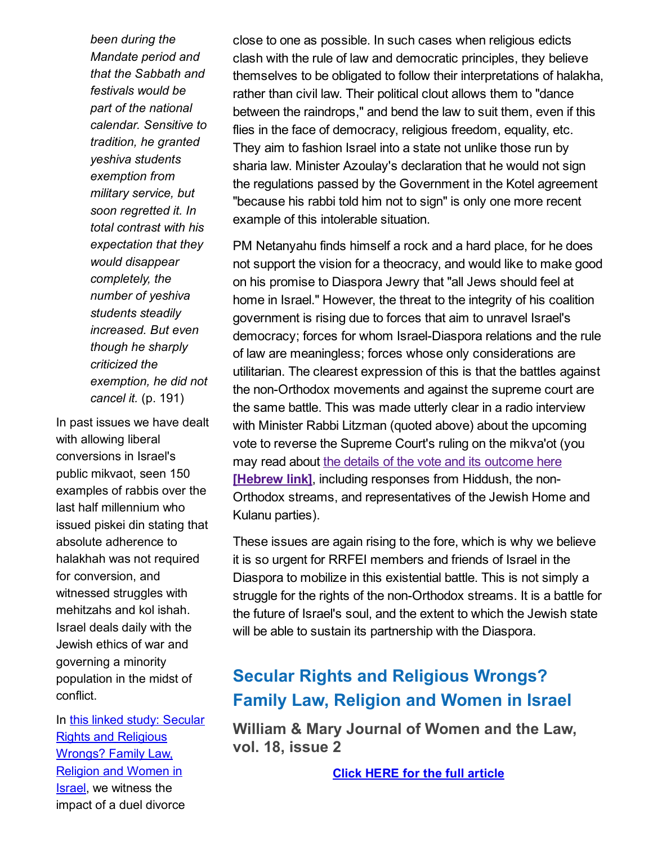*been during the Mandate period and that the Sabbath and festivals would be part of the national calendar. Sensitive to tradition, he granted yeshiva students exemption from military service, but soon regretted it. In total contrast with his expectation that they would disappear completely, the number of yeshiva students steadily increased. But even though he sharply criticized the exemption, he did not cancel it.* (p. 191)

In past issues we have dealt with allowing liberal conversions in Israel's public mikvaot, seen 150 examples of rabbis over the last half millennium who issued piskei din stating that absolute adherence to halakhah was not required for conversion, and witnessed struggles with mehitzahs and kol ishah. Israel deals daily with the Jewish ethics of war and governing a minority population in the midst of conflict.

In this linked study: Secular Rights and [Religious](http://rrfei.org/wp-content/uploads/2016/03/Secular-Rights-and-Religious-Wrongs-Family-Law-Religion-and-Women-in-Israel-2012.pdf) Wrongs? Family Law, Religion and Women in Israel, we witness the impact of a duel divorce

close to one as possible. In such cases when religious edicts clash with the rule of law and democratic principles, they believe themselves to be obligated to follow their interpretations of halakha, rather than civil law. Their political clout allows them to "dance between the raindrops," and bend the law to suit them, even if this flies in the face of democracy, religious freedom, equality, etc. They aim to fashion Israel into a state not unlike those run by sharia law. Minister Azoulay's declaration that he would not sign the regulations passed by the Government in the Kotel agreement "because his rabbi told him not to sign" is only one more recent example of this intolerable situation.

PM Netanyahu finds himself a rock and a hard place, for he does not support the vision for a theocracy, and would like to make good on his promise to Diaspora Jewry that "all Jews should feel at home in Israel." However, the threat to the integrity of his coalition government is rising due to forces that aim to unravel Israel's democracy; forces for whom Israel-Diaspora relations and the rule of law are meaningless; forces whose only considerations are utilitarian. The clearest expression of this is that the battles against the non-Orthodox movements and against the supreme court are the same battle. This was made utterly clear in a radio interview with Minister Rabbi Litzman (quoted above) about the upcoming vote to reverse the Supreme Court's ruling on the mikva'ot (you may read about the details of the vote and its outcome here **[Hebrew link]**, including [responses](http://www.ynet.co.il/articles/0,7340,L-4777813,00.html) from Hiddush, the non-Orthodox streams, and representatives of the Jewish Home and Kulanu parties).

These issues are again rising to the fore, which is why we believe it is so urgent for RRFEI members and friends of Israel in the Diaspora to mobilize in this existential battle. This is not simply a struggle for the rights of the non-Orthodox streams. It is a battle for the future of Israel's soul, and the extent to which the Jewish state will be able to sustain its partnership with the Diaspora.

## Secular Rights and Religious Wrongs? Family Law, Religion and Women in Israel

William & Mary Journal of Women and the Law, vol. 18, issue 2

Click HERE for the full [article](http://rrfei.org/wp-content/uploads/2016/03/Secular-Rights-and-Religious-Wrongs-Family-Law-Religion-and-Women-in-Israel-2012.pdf)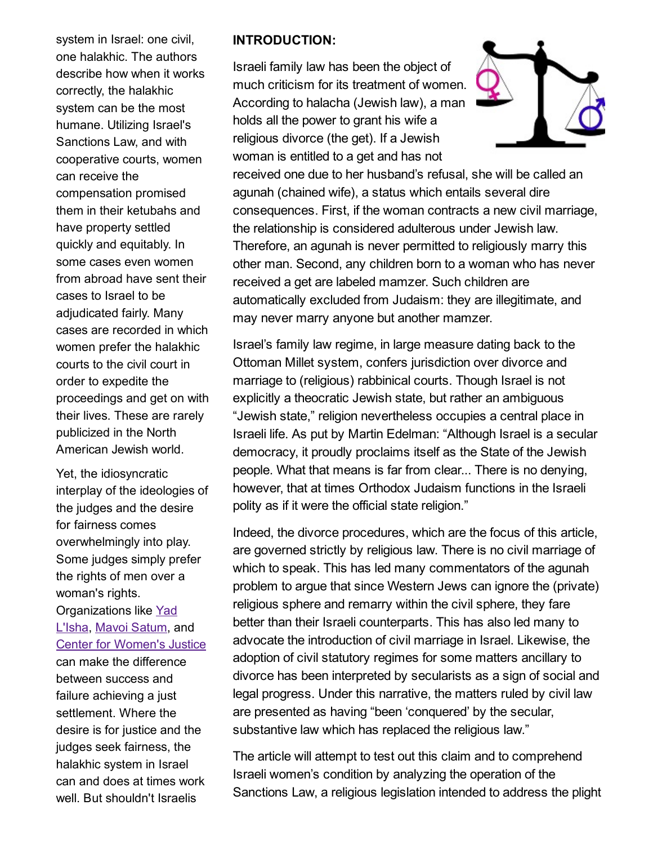system in Israel: one civil, one halakhic. The authors describe how when it works correctly, the halakhic system can be the most humane. Utilizing Israel's Sanctions Law, and with cooperative courts, women can receive the compensation promised them in their ketubahs and have property settled quickly and equitably. In some cases even women from abroad have sent their cases to Israel to be adjudicated fairly. Many cases are recorded in which women prefer the halakhic courts to the civil court in order to expedite the proceedings and get on with their lives. These are rarely publicized in the North American Jewish world.

Yet, the idiosyncratic interplay of the ideologies of the judges and the desire for fairness comes overwhelmingly into play. Some judges simply prefer the rights of men over a woman's rights. [Organizations](http://www.yadlaisha.org.il/default-eng.aspx) like Yad L'Isha, Mavoi [Satum,](http://www.mavoisatum.org/endefault.aspx) and

### Center for [Women's](http://www.cwj.org.il/en) Justice

can make the difference between success and failure achieving a just settlement. Where the desire is for justice and the judges seek fairness, the halakhic system in Israel can and does at times work well. But shouldn't Israelis

#### INTRODUCTION:

Israeli family law has been the object of much criticism for its treatment of women. According to halacha (Jewish law), a man holds all the power to grant his wife a religious divorce (the get). If a Jewish woman is entitled to a get and has not



received one due to her husband's refusal, she will be called an agunah (chained wife), a status which entails several dire consequences. First, if the woman contracts a new civil marriage, the relationship is considered adulterous under Jewish law. Therefore, an agunah is never permitted to religiously marry this other man. Second, any children born to a woman who has never received a get are labeled mamzer. Such children are automatically excluded from Judaism: they are illegitimate, and may never marry anyone but another mamzer.

Israel's family law regime, in large measure dating back to the Ottoman Millet system, confers jurisdiction over divorce and marriage to (religious) rabbinical courts. Though Israel is not explicitly a theocratic Jewish state, but rather an ambiguous "Jewish state," religion nevertheless occupies a central place in Israeli life. As put by Martin Edelman: "Although Israel is a secular democracy, it proudly proclaims itself as the State of the Jewish people. What that means is far from clear... There is no denying, however, that at times Orthodox Judaism functions in the Israeli polity as if it were the official state religion."

Indeed, the divorce procedures, which are the focus of this article, are governed strictly by religious law. There is no civil marriage of which to speak. This has led many commentators of the agunah problem to argue that since Western Jews can ignore the (private) religious sphere and remarry within the civil sphere, they fare better than their Israeli counterparts. This has also led many to advocate the introduction of civil marriage in Israel. Likewise, the adoption of civil statutory regimes for some matters ancillary to divorce has been interpreted by secularists as a sign of social and legal progress. Under this narrative, the matters ruled by civil law are presented as having "been 'conquered' by the secular, substantive law which has replaced the religious law."

The article will attempt to test out this claim and to comprehend Israeli women's condition by analyzing the operation of the Sanctions Law, a religious legislation intended to address the plight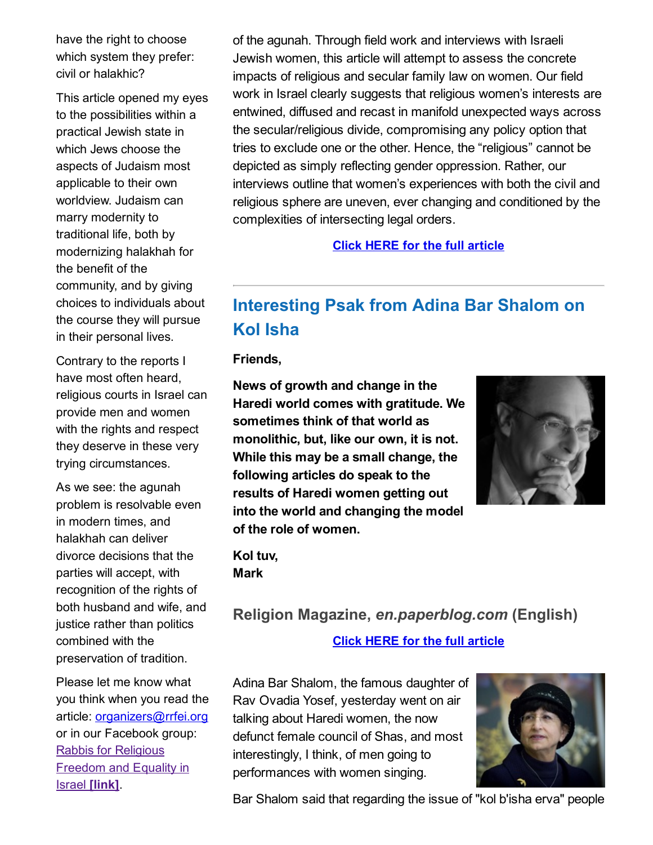have the right to choose which system they prefer: civil or halakhic?

This article opened my eyes to the possibilities within a practical Jewish state in which Jews choose the aspects of Judaism most applicable to their own worldview. Judaism can marry modernity to traditional life, both by modernizing halakhah for the benefit of the community, and by giving choices to individuals about the course they will pursue in their personal lives.

Contrary to the reports I have most often heard, religious courts in Israel can provide men and women with the rights and respect they deserve in these very trying circumstances.

As we see: the agunah problem is resolvable even in modern times, and halakhah can deliver divorce decisions that the parties will accept, with recognition of the rights of both husband and wife, and justice rather than politics combined with the preservation of tradition.

Please let me know what you think when you read the article: [organizers@rrfei.org](mailto:organizers@rrfei.org) or in our Facebook group: Rabbis for [Religious](https://www.facebook.com/groups/132239560451232/) Freedom and Equality in Israel [link].

of the agunah. Through field work and interviews with Israeli Jewish women, this article will attempt to assess the concrete impacts of religious and secular family law on women. Our field work in Israel clearly suggests that religious women's interests are entwined, diffused and recast in manifold unexpected ways across the secular/religious divide, compromising any policy option that tries to exclude one or the other. Hence, the "religious" cannot be depicted as simply reflecting gender oppression. Rather, our interviews outline that women's experiences with both the civil and religious sphere are uneven, ever changing and conditioned by the complexities of intersecting legal orders.

Click HERE for the full [article](http://rrfei.org/wp-content/uploads/2016/03/Secular-Rights-and-Religious-Wrongs-Family-Law-Religion-and-Women-in-Israel-2012.pdf)

# Interesting Psak from Adina Bar Shalom on Kol Isha

Friends,

News of growth and change in the Haredi world comes with gratitude. We sometimes think of that world as monolithic, but, like our own, it is not. While this may be a small change, the following articles do speak to the results of Haredi women getting out into the world and changing the model of the role of women.



Kol tuv, Mark

## Religion Magazine, *en.paperblog.com* (English)

### Click HERE for the full [article](http://rrfei.org/wp-content/uploads/2016/03/Interesting-Psak-from-Adina-Bar-Shalom-on-Kol-Isha-Paperblog.pdf)

Adina Bar Shalom, the famous daughter of Rav Ovadia Yosef, yesterday went on air talking about Haredi women, the now defunct female council of Shas, and most interestingly, I think, of men going to performances with women singing.



Bar Shalom said that regarding the issue of "kol b'isha erva" people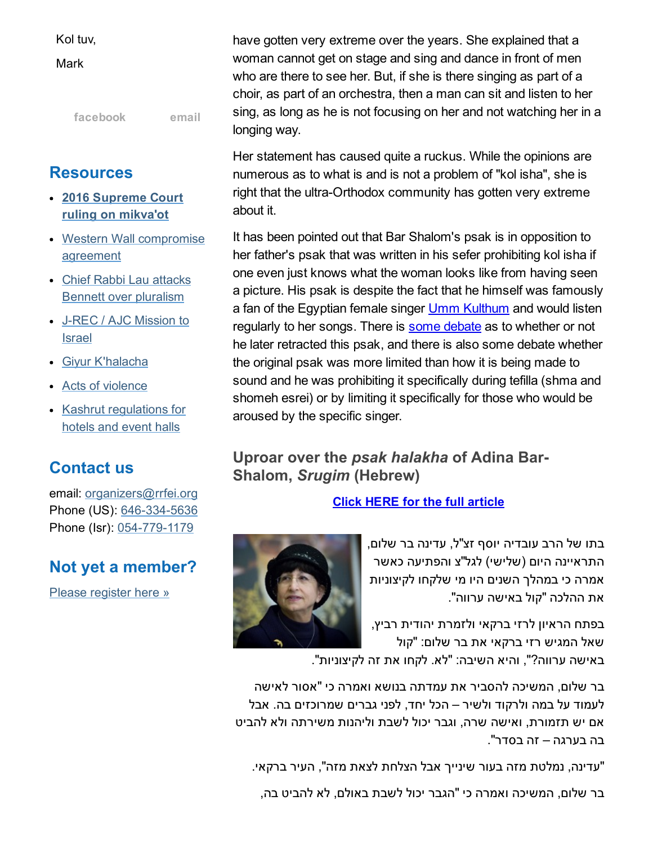Kol tuv,

**Mark** 

[facebook](https://www.facebook.com/groups/132239560451232/) [email](mailto:organizers@rrfei.org)

## **Resources**

- 2016 [Supreme](http://rrfei.org/resources/supreme-court-ruling-on-mikvaot-2016/) Court ruling on mikva'ot
- Western Wall [compromise](http://rrfei.org/resources/western-wall-agreement-2016/) agreement
- Chief Rabbi Lau attacks Bennett over [pluralism](http://rrfei.org/resources/chief-rabbi-lau-slams-minister-bennett-winter-2015/)
- J-REC / AJC [Mission](http://rrfei.org/resources/ajc-j-rec-mission-to-israel-winter-2015/) to Israel
- Giyur [K'halacha](http://rrfei.org/resources/giyur-khalacha-summer-2015/)
- Acts of [violence](http://rrfei.org/resources/acts-of-violence-summer-2015/)
- Kashrut [regulations](http://rrfei.org/resources/kashrut-regulations-for-hotels-spring-2015/) for hotels and event halls

## Contact us

email: [organizers@rrfei.org](mailto:organizers@rrfei.org) Phone (US): 646-334-5636 Phone (Isr): 054-779-1179

## Not yet a member?

Please [register](http://rrfei.org/about/registration/) here »

have gotten very extreme over the years. She explained that a woman cannot get on stage and sing and dance in front of men who are there to see her. But, if she is there singing as part of a choir, as part of an orchestra, then a man can sit and listen to her sing, as long as he is not focusing on her and not watching her in a longing way.

Her statement has caused quite a ruckus. While the opinions are numerous as to what is and is not a problem of "kol isha", she is right that the ultra-Orthodox community has gotten very extreme about it.

It has been pointed out that Bar Shalom's psak is in opposition to her father's psak that was written in his sefer prohibiting kol isha if one even just knows what the woman looks like from having seen a picture. His psak is despite the fact that he himself was famously a fan of the Egyptian female singer **Umm [Kulthum](https://en.wikipedia.org/wiki/Umm_Kulthum)** and would listen regularly to her songs. There is some [debate](http://seforim.blogspot.co.il/2012/02/answers-to-quiz-questions-and-other.html) as to whether or not he later retracted this psak, and there is also some debate whether the original psak was more limited than how it is being made to sound and he was prohibiting it specifically during tefilla (shma and shomeh esrei) or by limiting it specifically for those who would be aroused by the specific singer.

### Uproar over the *psak halakha* of Adina Bar-Shalom, *Srugim* (Hebrew)

Click HERE for the full [article](http://rrfei.org/wp-content/uploads/2016/03/%D7%A1%D7%A2%D7%A8%D7%94-%D7%91%D7%A2%D7%A7%D7%91%D7%95%D7%AA-%D7%A4%D7%A1%D7%A7-%D7%94%D7%9C%D7%9B%D7%94-%D7%A9%D7%9C-%D7%A2%D7%93%D7%99%D7%A0%D7%94-%D7%91%D7%A8-%D7%A9%D7%9C%D7%95%D7%9D.pdf)

בתו של הרב עובדיה יוסף זצ"ל, עדינה בר שלום, התראיינה היום (שלישי) לגל"צ והפתיעה כאשר אמרה כי במהלך השנים היו מי שלקחו לקיצוניות את ההלכה "קול באישה ערווה".

בפתח הראיון לרזי ברקאי ולזמרת יהודית רביץ, שאל המגיש רזי ברקאי את בר שלום: "קול

באישה ערווה?", והיא השיבה: "לא. לקחו את זה לקיצוניות".

בר שלום, המשיכה להסביר את עמדתה בנושא ואמרה כי "אסור לאישה לעמוד על במה ולרקוד ולשיר – הכל יחד, לפני גברים שמרוכזים בה. אבל אם יש תזמורת, ואישה שרה, וגבר יכול לשבת וליהנות משירתה ולא להביט בה בערגה – זה בסדר".

"עדינה, נמלטת מזה בעור שינייך אבל הצלחת לצאת מזה", העיר ברקאי.

בר שלום, המשיכה ואמרה כי "הגבר יכול לשבת באולם, לא להביט בה,